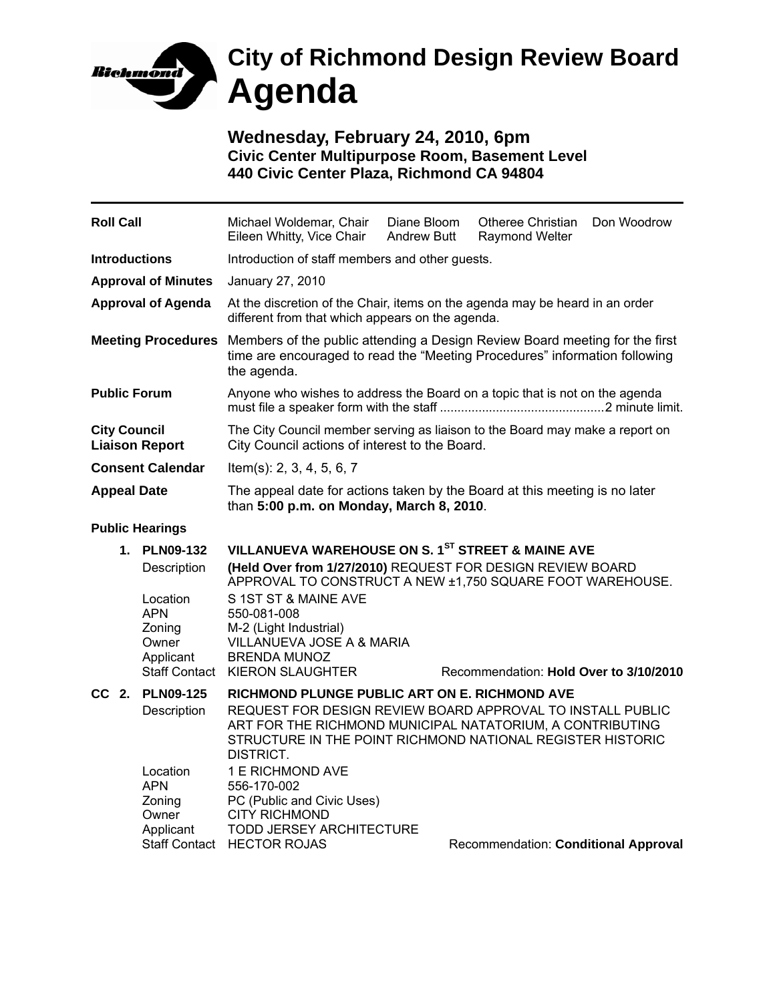

**Wednesday, February 24, 2010, 6pm Civic Center Multipurpose Room, Basement Level 440 Civic Center Plaza, Richmond CA 94804** 

| <b>Roll Call</b>                             |                                    | Michael Woldemar, Chair<br>Eileen Whitty, Vice Chair                                                                                                                                               | Diane Bloom<br><b>Andrew Butt</b> | <b>Otheree Christian</b><br><b>Raymond Welter</b> | Don Woodrow |  |
|----------------------------------------------|------------------------------------|----------------------------------------------------------------------------------------------------------------------------------------------------------------------------------------------------|-----------------------------------|---------------------------------------------------|-------------|--|
| <b>Introductions</b>                         |                                    | Introduction of staff members and other guests.                                                                                                                                                    |                                   |                                                   |             |  |
| <b>Approval of Minutes</b>                   |                                    | January 27, 2010                                                                                                                                                                                   |                                   |                                                   |             |  |
| <b>Approval of Agenda</b>                    |                                    | At the discretion of the Chair, items on the agenda may be heard in an order<br>different from that which appears on the agenda.                                                                   |                                   |                                                   |             |  |
| <b>Meeting Procedures</b>                    |                                    | Members of the public attending a Design Review Board meeting for the first<br>time are encouraged to read the "Meeting Procedures" information following<br>the agenda.                           |                                   |                                                   |             |  |
| <b>Public Forum</b>                          |                                    | Anyone who wishes to address the Board on a topic that is not on the agenda                                                                                                                        |                                   |                                                   |             |  |
| <b>City Council</b><br><b>Liaison Report</b> |                                    | The City Council member serving as liaison to the Board may make a report on<br>City Council actions of interest to the Board.                                                                     |                                   |                                                   |             |  |
| <b>Consent Calendar</b>                      |                                    | Item(s): $2, 3, 4, 5, 6, 7$                                                                                                                                                                        |                                   |                                                   |             |  |
| <b>Appeal Date</b>                           |                                    | The appeal date for actions taken by the Board at this meeting is no later<br>than 5:00 p.m. on Monday, March 8, 2010.                                                                             |                                   |                                                   |             |  |
| <b>Public Hearings</b>                       |                                    |                                                                                                                                                                                                    |                                   |                                                   |             |  |
|                                              | 1. PLN09-132<br>Description        | VILLANUEVA WAREHOUSE ON S. 1ST STREET & MAINE AVE<br>(Held Over from 1/27/2010) REQUEST FOR DESIGN REVIEW BOARD<br>APPROVAL TO CONSTRUCT A NEW ±1,750 SQUARE FOOT WAREHOUSE.                       |                                   |                                                   |             |  |
|                                              | Location<br>APN<br>Zoning<br>Owner | S 1ST ST & MAINE AVE<br>550-081-008<br>M-2 (Light Industrial)<br>VILLANUEVA JOSE A & MARIA                                                                                                         |                                   |                                                   |             |  |
|                                              | Applicant                          | <b>BRENDA MUNOZ</b><br>Staff Contact KIERON SLAUGHTER                                                                                                                                              |                                   | Recommendation: Hold Over to 3/10/2010            |             |  |
|                                              | CC 2. PLN09-125                    | RICHMOND PLUNGE PUBLIC ART ON E. RICHMOND AVE                                                                                                                                                      |                                   |                                                   |             |  |
|                                              | Description                        | REQUEST FOR DESIGN REVIEW BOARD APPROVAL TO INSTALL PUBLIC<br>ART FOR THE RICHMOND MUNICIPAL NATATORIUM, A CONTRIBUTING<br>STRUCTURE IN THE POINT RICHMOND NATIONAL REGISTER HISTORIC<br>DISTRICT. |                                   |                                                   |             |  |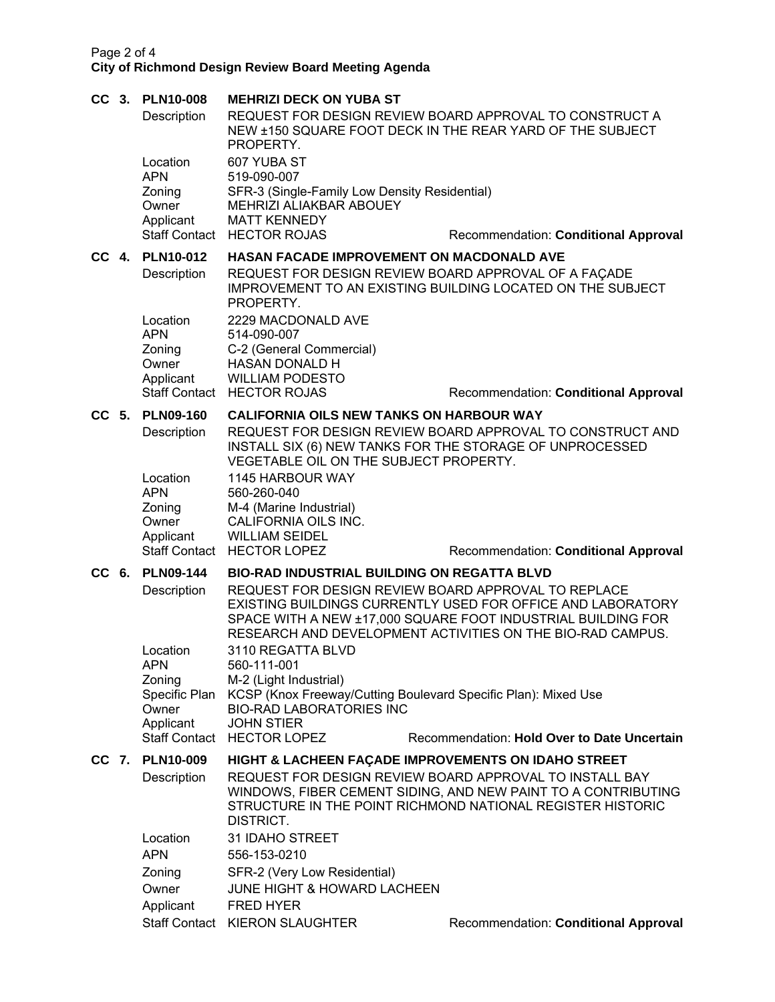## Page 2 of 4 **City of Richmond Design Review Board Meeting Agenda**

| CC <sub>3</sub> |                                                                        | <b>PLN10-008</b>     | <b>MEHRIZI DECK ON YUBA ST</b>                                                                                                                                                                                                                   |                                                  |  |  |
|-----------------|------------------------------------------------------------------------|----------------------|--------------------------------------------------------------------------------------------------------------------------------------------------------------------------------------------------------------------------------------------------|--------------------------------------------------|--|--|
|                 |                                                                        | Description          | REQUEST FOR DESIGN REVIEW BOARD APPROVAL TO CONSTRUCT A<br>NEW ±150 SQUARE FOOT DECK IN THE REAR YARD OF THE SUBJECT<br>PROPERTY.                                                                                                                |                                                  |  |  |
|                 |                                                                        | Location             | 607 YUBA ST                                                                                                                                                                                                                                      |                                                  |  |  |
|                 |                                                                        | <b>APN</b>           | 519-090-007                                                                                                                                                                                                                                      |                                                  |  |  |
|                 |                                                                        | Zoning<br>Owner      | SFR-3 (Single-Family Low Density Residential)<br>MEHRIZI ALIAKBAR ABOUEY                                                                                                                                                                         |                                                  |  |  |
|                 |                                                                        | Applicant            | <b>MATT KENNEDY</b>                                                                                                                                                                                                                              |                                                  |  |  |
|                 |                                                                        |                      | Staff Contact HECTOR ROJAS                                                                                                                                                                                                                       | Recommendation: Conditional Approval             |  |  |
| $CC$ 4.         |                                                                        | <b>PLN10-012</b>     |                                                                                                                                                                                                                                                  | <b>HASAN FACADE IMPROVEMENT ON MACDONALD AVE</b> |  |  |
|                 |                                                                        | Description          | REQUEST FOR DESIGN REVIEW BOARD APPROVAL OF A FAÇADE<br><b>IMPROVEMENT TO AN EXISTING BUILDING LOCATED ON THE SUBJECT</b><br>PROPERTY.                                                                                                           |                                                  |  |  |
|                 |                                                                        | Location             | 2229 MACDONALD AVE                                                                                                                                                                                                                               |                                                  |  |  |
|                 |                                                                        | <b>APN</b>           | 514-090-007                                                                                                                                                                                                                                      |                                                  |  |  |
|                 |                                                                        | Zoning<br>Owner      | C-2 (General Commercial)<br><b>HASAN DONALD H</b>                                                                                                                                                                                                |                                                  |  |  |
|                 |                                                                        | Applicant            | <b>WILLIAM PODESTO</b>                                                                                                                                                                                                                           |                                                  |  |  |
|                 |                                                                        |                      | Staff Contact HECTOR ROJAS                                                                                                                                                                                                                       | Recommendation: Conditional Approval             |  |  |
|                 |                                                                        | CC 5. PLN09-160      | <b>CALIFORNIA OILS NEW TANKS ON HARBOUR WAY</b>                                                                                                                                                                                                  |                                                  |  |  |
|                 |                                                                        | Description          | REQUEST FOR DESIGN REVIEW BOARD APPROVAL TO CONSTRUCT AND<br>INSTALL SIX (6) NEW TANKS FOR THE STORAGE OF UNPROCESSED<br>VEGETABLE OIL ON THE SUBJECT PROPERTY.                                                                                  |                                                  |  |  |
|                 |                                                                        | Location             | 1145 HARBOUR WAY                                                                                                                                                                                                                                 |                                                  |  |  |
|                 |                                                                        | <b>APN</b>           | 560-260-040                                                                                                                                                                                                                                      |                                                  |  |  |
|                 |                                                                        | Zoning<br>Owner      | M-4 (Marine Industrial)<br>CALIFORNIA OILS INC.                                                                                                                                                                                                  |                                                  |  |  |
|                 |                                                                        | Applicant            | <b>WILLIAM SEIDEL</b>                                                                                                                                                                                                                            |                                                  |  |  |
|                 |                                                                        |                      | Staff Contact HECTOR LOPEZ                                                                                                                                                                                                                       | Recommendation: Conditional Approval             |  |  |
|                 | CC 6. PLN09-144<br><b>BIO-RAD INDUSTRIAL BUILDING ON REGATTA BLVD</b>  |                      |                                                                                                                                                                                                                                                  |                                                  |  |  |
|                 |                                                                        | Description          | REQUEST FOR DESIGN REVIEW BOARD APPROVAL TO REPLACE<br>EXISTING BUILDINGS CURRENTLY USED FOR OFFICE AND LABORATORY<br>SPACE WITH A NEW ±17,000 SQUARE FOOT INDUSTRIAL BUILDING FOR<br>RESEARCH AND DEVELOPMENT ACTIVITIES ON THE BIO-RAD CAMPUS. |                                                  |  |  |
|                 |                                                                        | Location             | 3110 REGATTA BLVD<br>560-111-001                                                                                                                                                                                                                 |                                                  |  |  |
|                 |                                                                        | <b>APN</b><br>Zoning | M-2 (Light Industrial)                                                                                                                                                                                                                           |                                                  |  |  |
|                 |                                                                        | Owner                | Specific Plan KCSP (Knox Freeway/Cutting Boulevard Specific Plan): Mixed Use<br><b>BIO-RAD LABORATORIES INC</b>                                                                                                                                  |                                                  |  |  |
|                 |                                                                        | Applicant            | <b>JOHN STIER</b><br>Staff Contact HECTOR LOPEZ                                                                                                                                                                                                  | Recommendation: Hold Over to Date Uncertain      |  |  |
|                 | CC 7. PLN10-009<br>HIGHT & LACHEEN FACADE IMPROVEMENTS ON IDAHO STREET |                      |                                                                                                                                                                                                                                                  |                                                  |  |  |
|                 |                                                                        | Description          | REQUEST FOR DESIGN REVIEW BOARD APPROVAL TO INSTALL BAY<br>WINDOWS, FIBER CEMENT SIDING, AND NEW PAINT TO A CONTRIBUTING<br>STRUCTURE IN THE POINT RICHMOND NATIONAL REGISTER HISTORIC<br>DISTRICT.                                              |                                                  |  |  |
|                 |                                                                        | Location             | 31 IDAHO STREET                                                                                                                                                                                                                                  |                                                  |  |  |
|                 |                                                                        | <b>APN</b>           | 556-153-0210                                                                                                                                                                                                                                     |                                                  |  |  |
|                 |                                                                        | Zoning               | SFR-2 (Very Low Residential)                                                                                                                                                                                                                     |                                                  |  |  |
|                 |                                                                        | Owner                | <b>JUNE HIGHT &amp; HOWARD LACHEEN</b>                                                                                                                                                                                                           |                                                  |  |  |
|                 |                                                                        | Applicant            | <b>FRED HYER</b>                                                                                                                                                                                                                                 |                                                  |  |  |
|                 |                                                                        |                      | Staff Contact KIERON SLAUGHTER                                                                                                                                                                                                                   | Recommendation: Conditional Approval             |  |  |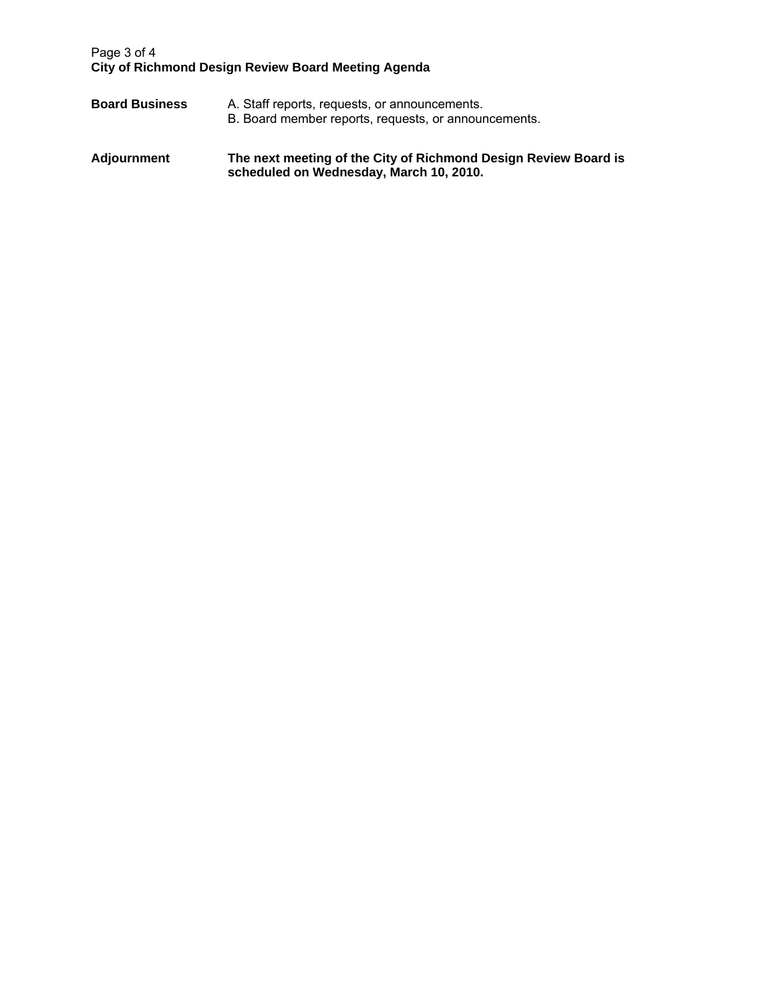## Page 3 of 4 **City of Richmond Design Review Board Meeting Agenda**

- **Board Business** A. Staff reports, requests, or announcements. B. Board member reports, requests, or announcements.
- **Adjournment The next meeting of the City of Richmond Design Review Board is scheduled on Wednesday, March 10, 2010.**